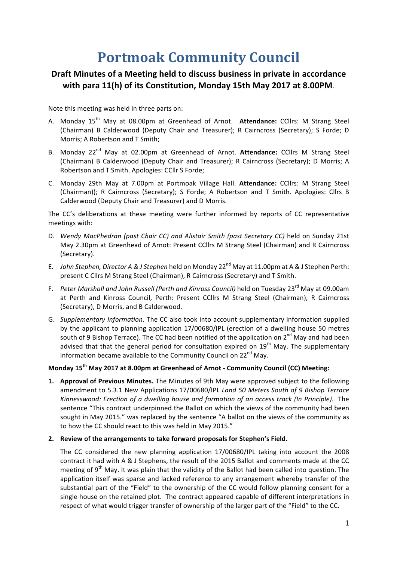# **Portmoak Community Council**

## Draft Minutes of a Meeting held to discuss business in private in accordance with para 11(h) of its Constitution, Monday 15th May 2017 at 8.00PM.

Note this meeting was held in three parts on:

- A. Mondav 15<sup>th</sup> May at 08.00pm at Greenhead of Arnot. Attendance: CCllrs: M Strang Steel (Chairman) B Calderwood (Deputy Chair and Treasurer); R Cairncross (Secretary); S Forde; D Morris; A Robertson and T Smith;
- B. Monday 22<sup>nd</sup> May at 02.00pm at Greenhead of Arnot. Attendance: CCllrs M Strang Steel (Chairman) B Calderwood (Deputy Chair and Treasurer); R Cairncross (Secretary); D Morris; A Robertson and T Smith. Apologies: CCllr S Forde;
- C. Monday 29th May at 7.00pm at Portmoak Village Hall. **Attendance:** CCllrs: M Strang Steel (Chairman)); R Cairncross (Secretary); S Forde; A Robertson and T Smith. Apologies: Cllrs B Calderwood (Deputy Chair and Treasurer) and D Morris.

The CC's deliberations at these meeting were further informed by reports of CC representative meetings with: 

- D. Wendy MacPhedran (past Chair CC) and Alistair Smith (past Secretary CC) held on Sunday 21st May 2.30pm at Greenhead of Arnot: Present CCllrs M Strang Steel (Chairman) and R Cairncross (Secretary).
- E. *John Stephen, Director A & J Stephen* held on Monday 22<sup>nd</sup> May at 11.00pm at A & J Stephen Perth: present C Cllrs M Strang Steel (Chairman), R Cairncross (Secretary) and T Smith.
- F. Peter Marshall and John Russell (Perth and Kinross Council) held on Tuesday 23<sup>rd</sup> May at 09.00am at Perth and Kinross Council, Perth: Present CCllrs M Strang Steel (Chairman), R Cairncross (Secretary), D Morris, and B Calderwood.
- G. *Supplementary Information*. The CC also took into account supplementary information supplied by the applicant to planning application 17/00680/IPL (erection of a dwelling house 50 metres south of 9 Bishop Terrace). The CC had been notified of the application on  $2^{nd}$  May and had been advised that that the general period for consultation expired on  $19<sup>th</sup>$  May. The supplementary information became available to the Community Council on  $22^{nd}$  May.

### Monday 15<sup>th</sup> May 2017 at 8.00pm at Greenhead of Arnot - Community Council (CC) Meeting:

**1. Approval of Previous Minutes.** The Minutes of 9th May were approved subject to the following amendment to 5.3.1 New Applications 17/00680/IPL *Land 50 Meters South of 9 Bishop Terrace* Kinnesswood: Erection of a dwelling house and formation of an access track (In Principle). The sentence "This contract underpinned the Ballot on which the views of the community had been sought in May 2015." was replaced by the sentence "A ballot on the views of the community as to how the CC should react to this was held in May 2015."

#### **2.** Review of the arrangements to take forward proposals for Stephen's Field.

The CC considered the new planning application 17/00680/IPL taking into account the 2008 contract it had with A & J Stephens, the result of the 2015 Ballot and comments made at the CC meeting of  $9<sup>th</sup>$  May. It was plain that the validity of the Ballot had been called into question. The application itself was sparse and lacked reference to any arrangement whereby transfer of the substantial part of the "Field" to the ownership of the CC would follow planning consent for a single house on the retained plot. The contract appeared capable of different interpretations in respect of what would trigger transfer of ownership of the larger part of the "Field" to the CC.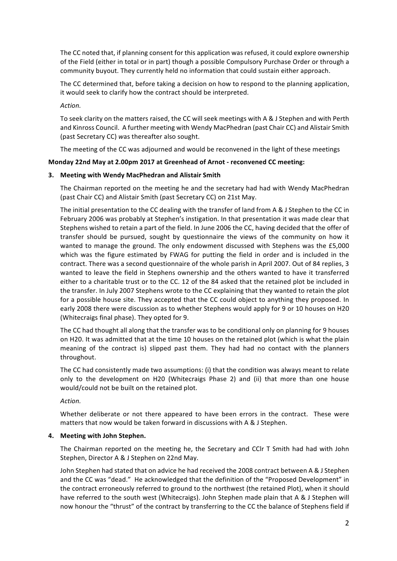The CC noted that, if planning consent for this application was refused, it could explore ownership of the Field (either in total or in part) though a possible Compulsory Purchase Order or through a community buyout. They currently held no information that could sustain either approach.

The CC determined that, before taking a decision on how to respond to the planning application, it would seek to clarify how the contract should be interpreted.

*Action.*

To seek clarity on the matters raised, the CC will seek meetings with A & J Stephen and with Perth and Kinross Council. A further meeting with Wendy MacPhedran (past Chair CC) and Alistair Smith (past Secretary CC) was thereafter also sought.

The meeting of the CC was adjourned and would be reconvened in the light of these meetings

#### **Monday 22nd May at 2.00pm 2017 at Greenhead of Arnot - reconvened CC meeting:**

#### **3.** Meeting with Wendy MacPhedran and Alistair Smith

The Chairman reported on the meeting he and the secretary had had with Wendy MacPhedran (past Chair CC) and Alistair Smith (past Secretary CC) on 21st May.

The initial presentation to the CC dealing with the transfer of land from A & J Stephen to the CC in February 2006 was probably at Stephen's instigation. In that presentation it was made clear that Stephens wished to retain a part of the field. In June 2006 the CC, having decided that the offer of transfer should be pursued, sought by questionnaire the views of the community on how it wanted to manage the ground. The only endowment discussed with Stephens was the £5,000 which was the figure estimated by FWAG for putting the field in order and is included in the contract. There was a second questionnaire of the whole parish in April 2007. Out of 84 replies, 3 wanted to leave the field in Stephens ownership and the others wanted to have it transferred either to a charitable trust or to the CC. 12 of the 84 asked that the retained plot be included in the transfer. In July 2007 Stephens wrote to the CC explaining that they wanted to retain the plot for a possible house site. They accepted that the CC could object to anything they proposed. In early 2008 there were discussion as to whether Stephens would apply for 9 or 10 houses on H20 (Whitecraigs final phase). They opted for 9.

The CC had thought all along that the transfer was to be conditional only on planning for 9 houses on H20. It was admitted that at the time 10 houses on the retained plot (which is what the plain meaning of the contract is) slipped past them. They had had no contact with the planners throughout.

The CC had consistently made two assumptions: (i) that the condition was always meant to relate only to the development on H20 (Whitecraigs Phase 2) and (ii) that more than one house would/could not be built on the retained plot.

*Action.*

Whether deliberate or not there appeared to have been errors in the contract. These were matters that now would be taken forward in discussions with A & J Stephen.

#### **4.** Meeting with John Stephen.

The Chairman reported on the meeting he, the Secretary and CClr T Smith had had with John Stephen, Director A & J Stephen on 22nd May.

John Stephen had stated that on advice he had received the 2008 contract between A & J Stephen and the CC was "dead." He acknowledged that the definition of the "Proposed Development" in the contract erroneously referred to ground to the northwest (the retained Plot), when it should have referred to the south west (Whitecraigs). John Stephen made plain that A & J Stephen will now honour the "thrust" of the contract by transferring to the CC the balance of Stephens field if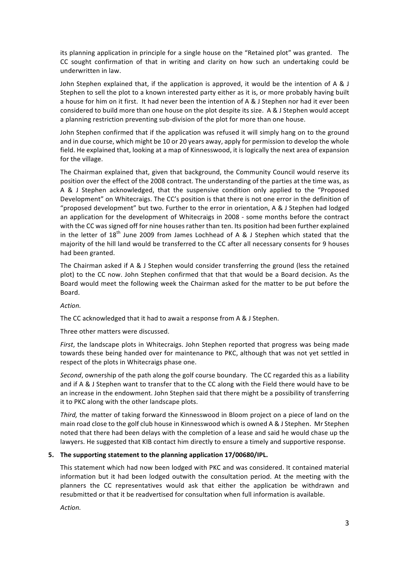its planning application in principle for a single house on the "Retained plot" was granted. The CC sought confirmation of that in writing and clarity on how such an undertaking could be underwritten in law.

John Stephen explained that, if the application is approved, it would be the intention of A & J Stephen to sell the plot to a known interested party either as it is, or more probably having built a house for him on it first. It had never been the intention of A & J Stephen nor had it ever been considered to build more than one house on the plot despite its size. A & J Stephen would accept a planning restriction preventing sub-division of the plot for more than one house.

John Stephen confirmed that if the application was refused it will simply hang on to the ground and in due course, which might be 10 or 20 years away, apply for permission to develop the whole field. He explained that, looking at a map of Kinnesswood, it is logically the next area of expansion for the village.

The Chairman explained that, given that background, the Community Council would reserve its position over the effect of the 2008 contract. The understanding of the parties at the time was, as A & J Stephen acknowledged, that the suspensive condition only applied to the "Proposed Development" on Whitecraigs. The CC's position is that there is not one error in the definition of "proposed development" but two. Further to the error in orientation, A & J Stephen had lodged an application for the development of Whitecraigs in 2008 - some months before the contract with the CC was signed off for nine houses rather than ten. Its position had been further explained in the letter of  $18<sup>th</sup>$  June 2009 from James Lochhead of A & J Stephen which stated that the majority of the hill land would be transferred to the CC after all necessary consents for 9 houses had been granted.

The Chairman asked if A & J Stephen would consider transferring the ground (less the retained plot) to the CC now. John Stephen confirmed that that that would be a Board decision. As the Board would meet the following week the Chairman asked for the matter to be put before the Board.

#### *Action.*

The CC acknowledged that it had to await a response from A & J Stephen.

Three other matters were discussed.

*First*, the landscape plots in Whitecraigs. John Stephen reported that progress was being made towards these being handed over for maintenance to PKC, although that was not yet settled in respect of the plots in Whitecraigs phase one.

Second, ownership of the path along the golf course boundary. The CC regarded this as a liability and if A & J Stephen want to transfer that to the CC along with the Field there would have to be an increase in the endowment. John Stephen said that there might be a possibility of transferring it to PKC along with the other landscape plots.

*Third*, the matter of taking forward the Kinnesswood in Bloom project on a piece of land on the main road close to the golf club house in Kinnesswood which is owned A & J Stephen. Mr Stephen noted that there had been delays with the completion of a lease and said he would chase up the lawyers. He suggested that KIB contact him directly to ensure a timely and supportive response.

#### **5.** The supporting statement to the planning application 17/00680/IPL.

This statement which had now been lodged with PKC and was considered. It contained material information but it had been lodged outwith the consultation period. At the meeting with the planners the CC representatives would ask that either the application be withdrawn and resubmitted or that it be readvertised for consultation when full information is available.

*Action.*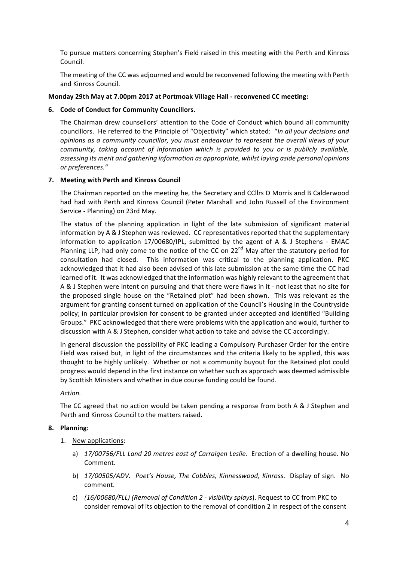To pursue matters concerning Stephen's Field raised in this meeting with the Perth and Kinross Council.

The meeting of the CC was adjourned and would be reconvened following the meeting with Perth and Kinross Council.

#### **Monday 29th May at 7.00pm 2017 at Portmoak Village Hall - reconvened CC meeting:**

#### **6.** Code of Conduct for Community Councillors.

The Chairman drew counsellors' attention to the Code of Conduct which bound all community councillors. He referred to the Principle of "Objectivity" which stated: "In all your decisions and *opinions* as a community councillor, you must endeavour to represent the overall views of your *community, taking account of information which is provided to you or is publicly available, assessing its merit and gathering information as appropriate, whilst laying aside personal opinions or preferences."*

#### **7. Meeting with Perth and Kinross Council**

The Chairman reported on the meeting he, the Secretary and CCllrs D Morris and B Calderwood had had with Perth and Kinross Council (Peter Marshall and John Russell of the Environment Service - Planning) on 23rd May.

The status of the planning application in light of the late submission of significant material information by A & J Stephen was reviewed. CC representatives reported that the supplementary information to application  $17/00680/1PL$ , submitted by the agent of A & J Stephens - EMAC Planning LLP, had only come to the notice of the CC on  $22^{nd}$  May after the statutory period for consultation had closed. This information was critical to the planning application. PKC acknowledged that it had also been advised of this late submission at the same time the CC had learned of it. It was acknowledged that the information was highly relevant to the agreement that A & J Stephen were intent on pursuing and that there were flaws in it - not least that no site for the proposed single house on the "Retained plot" had been shown. This was relevant as the argument for granting consent turned on application of the Council's Housing in the Countryside policy; in particular provision for consent to be granted under accepted and identified "Building Groups." PKC acknowledged that there were problems with the application and would, further to discussion with A & J Stephen, consider what action to take and advise the CC accordingly.

In general discussion the possibility of PKC leading a Compulsory Purchaser Order for the entire Field was raised but, in light of the circumstances and the criteria likely to be applied, this was thought to be highly unlikely. Whether or not a community buyout for the Retained plot could progress would depend in the first instance on whether such as approach was deemed admissible by Scottish Ministers and whether in due course funding could be found.

#### *Action.*

The CC agreed that no action would be taken pending a response from both A & J Stephen and Perth and Kinross Council to the matters raised.

#### **8. Planning:**

- 1. New applications:
	- a) 17/00756/FLL Land 20 metres east of Carraigen Leslie. Erection of a dwelling house. No Comment.
	- b) 17/00505/ADV. Poet's House, The Cobbles, Kinnesswood, Kinross. Display of sign. No comment.
	- c) (16/00680/FLL) (Removal of Condition 2 visibility splays). Request to CC from PKC to consider removal of its objection to the removal of condition 2 in respect of the consent